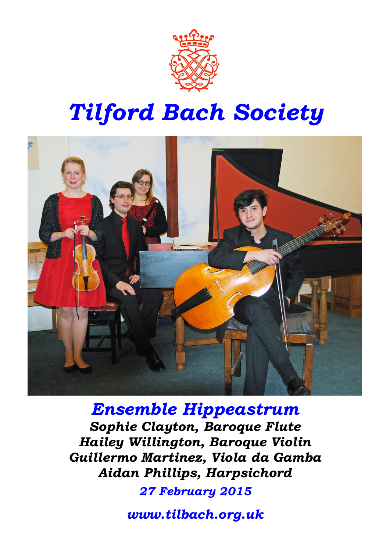

# *Tilford Bach Society*



*Ensemble Hippeastrum Sophie Clayton, Baroque Flute Hailey Willington, Baroque Violin Guillermo Martinez, Viola da Gamba Aidan Phillips, Harpsichord*

*27 February 2015*

*www.tilbach.org.uk*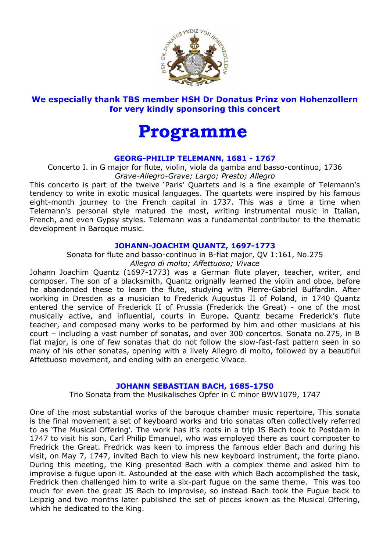

# **We especially thank TBS member HSH Dr Donatus Prinz von Hohenzollern for very kindly sponsoring this concert**

# **Programme**

### **GEORG-PHILIP TELEMANN, 1681 - 1767**

Concerto I. in G major for flute, violin, viola da gamba and basso-continuo, 1736 *Grave-Allegro-Grave; Largo; Presto; Allegro*

This concerto is part of the twelve 'Paris' Quartets and is a fine example of Telemann's tendency to write in exotic musical languages. The quartets were inspired by his famous eight-month journey to the French capital in 1737. This was a time a time when Telemann's personal style matured the most, writing instrumental music in Italian, French, and even Gypsy styles. Telemann was a fundamental contributor to the thematic development in Baroque music.

#### **JOHANN-JOACHIM QUANTZ, 1697-1773**

Sonata for flute and basso-continuo in B-flat major, QV 1:161, No.275 *Allegro di molto; Affettuoso; Vivace*

Johann Joachim Quantz (1697-1773) was a German flute player, teacher, writer, and composer. The son of a blacksmith, Quantz orignally learned the violin and oboe, before he abandonded these to learn the flute, studying with Pierre-Gabriel Buffardin. After working in Dresden as a musician to Frederick Augustus II of Poland, in 1740 Quantz entered the service of Frederick II of Prussia (Frederick the Great) - one of the most musically active, and influential, courts in Europe. Quantz became Frederick's flute teacher, and composed many works to be performed by him and other musicians at his court – including a vast number of sonatas, and over 300 concertos. Sonata no.275, in B flat major, is one of few sonatas that do not follow the slow-fast-fast pattern seen in so many of his other sonatas, opening with a lively Allegro di molto, followed by a beautiful Affettuoso movement, and ending with an energetic Vivace.

# **JOHANN SEBASTIAN BACH, 1685-1750**

Trio Sonata from the Musikalisches Opfer in C minor BWV1079, 1747

One of the most substantial works of the baroque chamber music repertoire, This sonata is the final movement a set of keyboard works and trio sonatas often collectively referred to as 'The Musical Offering'. The work has it's roots in a trip JS Bach took to Postdam in 1747 to visit his son, Carl Philip Emanuel, who was employed there as court composter to Fredrick the Great. Fredrick was keen to impress the famous elder Bach and during his visit, on May 7, 1747, invited Bach to view his new keyboard instrument, the forte piano. During this meeting, the King presented Bach with a complex theme and asked him to improvise a fugue upon it. Astounded at the ease with which Bach accomplished the task, Fredrick then challenged him to write a six-part fugue on the same theme. This was too much for even the great JS Bach to improvise, so instead Bach took the Fugue back to Leipzig and two months later published the set of pieces known as the Musical Offering, which he dedicated to the King.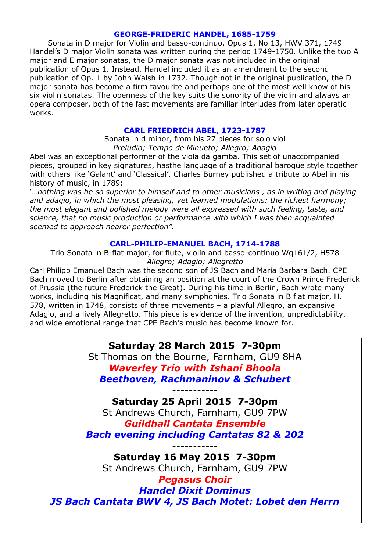#### **GEORGE-FRIDERIC HANDEL, 1685-1759**

Sonata in D major for Violin and basso-continuo, Opus 1, No 13, HWV 371, 1749 Handel's D major Violin sonata was written during the period 1749-1750. Unlike the two A major and E major sonatas, the D major sonata was not included in the original publication of Opus 1. Instead, Handel included it as an amendment to the second publication of Op. 1 by John Walsh in 1732. Though not in the original publication, the D major sonata has become a firm favourite and perhaps one of the most well know of his six violin sonatas. The openness of the key suits the sonority of the violin and always an opera composer, both of the fast movements are familiar interludes from later operatic works.

#### **CARL FRIEDRICH ABEL, 1723-1787**

Sonata in d minor, from his 27 pieces for solo viol *Preludio; Tempo de Minueto; Allegro; Adagio*

Abel was an exceptional performer of the viola da gamba. This set of unaccompanied pieces, grouped in key signatures, hasthe language of a traditional baroque style together with others like 'Galant' and 'Classical'. Charles Burney published a tribute to Abel in his history of music, in 1789:

'*…nothing was he so superior to himself and to other musicians , as in writing and playing and adagio, in which the most pleasing, yet learned modulations: the richest harmony; the most elegant and polished melody were all expressed with such feeling, taste, and science, that no music production or performance with which I was then acquainted seemed to approach nearer perfection".*

#### **CARL-PHILIP-EMANUEL BACH, 1714-1788**

Trio Sonata in B-flat major, for flute, violin and basso-continuo Wq161/2, H578 *Allegro; Adagio; Allegretto*

Carl Philipp Emanuel Bach was the second son of JS Bach and Maria Barbara Bach. CPE Bach moved to Berlin after obtaining an position at the court of the Crown Prince Frederick of Prussia (the future Frederick the Great). During his time in Berlin, Bach wrote many works, including his Magnificat, and many symphonies. Trio Sonata in B flat major, H. 578, written in 1748, consists of three movements – a playful Allegro, an expansive Adagio, and a lively Allegretto. This piece is evidence of the invention, unpredictability, and wide emotional range that CPE Bach's music has become known for.

**Saturday 28 March 2015 7-30pm**

St Thomas on the Bourne, Farnham, GU9 8HA *Waverley Trio with Ishani Bhoola Beethoven, Rachmaninov & Schubert*

*-----------*

**Saturday 25 April 2015 7-30pm**

St Andrews Church, Farnham, GU9 7PW *Guildhall Cantata Ensemble Bach evening including Cantatas 82 & 202*

*-----------* **Saturday 16 May 2015 7-30pm** St Andrews Church, Farnham, GU9 7PW

*Pegasus Choir Handel Dixit Dominus JS Bach Cantata BWV 4, JS Bach Motet: Lobet den Herrn*